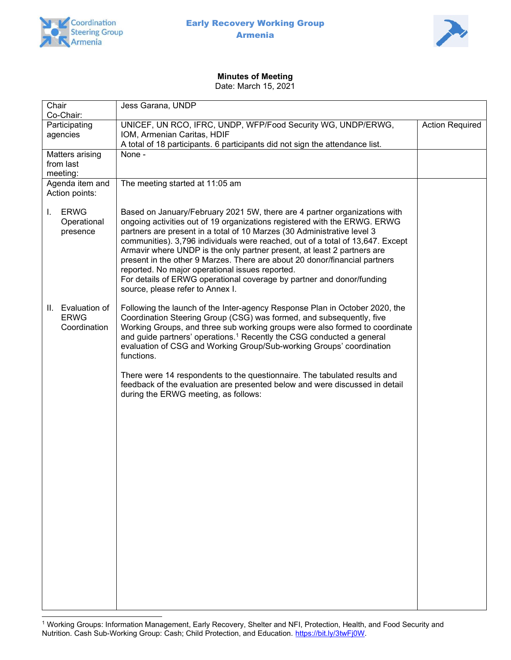



# Minutes of Meeting

Date: March 15, 2021

| Chair<br>Co-Chair:                               | Jess Garana, UNDP                                                                                                                                                                                                                                                                                                                                                                                                                                                                                                                                                                                                                            |                        |
|--------------------------------------------------|----------------------------------------------------------------------------------------------------------------------------------------------------------------------------------------------------------------------------------------------------------------------------------------------------------------------------------------------------------------------------------------------------------------------------------------------------------------------------------------------------------------------------------------------------------------------------------------------------------------------------------------------|------------------------|
| Participating<br>agencies                        | UNICEF, UN RCO, IFRC, UNDP, WFP/Food Security WG, UNDP/ERWG,<br>IOM, Armenian Caritas, HDIF<br>A total of 18 participants. 6 participants did not sign the attendance list.                                                                                                                                                                                                                                                                                                                                                                                                                                                                  | <b>Action Required</b> |
| Matters arising<br>from last<br>meeting:         | None -                                                                                                                                                                                                                                                                                                                                                                                                                                                                                                                                                                                                                                       |                        |
| Agenda item and<br>Action points:                | The meeting started at 11:05 am                                                                                                                                                                                                                                                                                                                                                                                                                                                                                                                                                                                                              |                        |
| <b>ERWG</b><br>Ι.<br>Operational<br>presence     | Based on January/February 2021 5W, there are 4 partner organizations with<br>ongoing activities out of 19 organizations registered with the ERWG. ERWG<br>partners are present in a total of 10 Marzes (30 Administrative level 3<br>communities). 3,796 individuals were reached, out of a total of 13,647. Except<br>Armavir where UNDP is the only partner present, at least 2 partners are<br>present in the other 9 Marzes. There are about 20 donor/financial partners<br>reported. No major operational issues reported.<br>For details of ERWG operational coverage by partner and donor/funding<br>source, please refer to Annex I. |                        |
| II. Evaluation of<br><b>ERWG</b><br>Coordination | Following the launch of the Inter-agency Response Plan in October 2020, the<br>Coordination Steering Group (CSG) was formed, and subsequently, five<br>Working Groups, and three sub working groups were also formed to coordinate<br>and guide partners' operations. <sup>1</sup> Recently the CSG conducted a general<br>evaluation of CSG and Working Group/Sub-working Groups' coordination<br>functions.                                                                                                                                                                                                                                |                        |
|                                                  | There were 14 respondents to the questionnaire. The tabulated results and<br>feedback of the evaluation are presented below and were discussed in detail<br>during the ERWG meeting, as follows:                                                                                                                                                                                                                                                                                                                                                                                                                                             |                        |
|                                                  |                                                                                                                                                                                                                                                                                                                                                                                                                                                                                                                                                                                                                                              |                        |

<sup>1</sup> Working Groups: Information Management, Early Recovery, Shelter and NFI, Protection, Health, and Food Security and Nutrition. Cash Sub-Working Group: Cash; Child Protection, and Education. https://bit.ly/3twFj0W.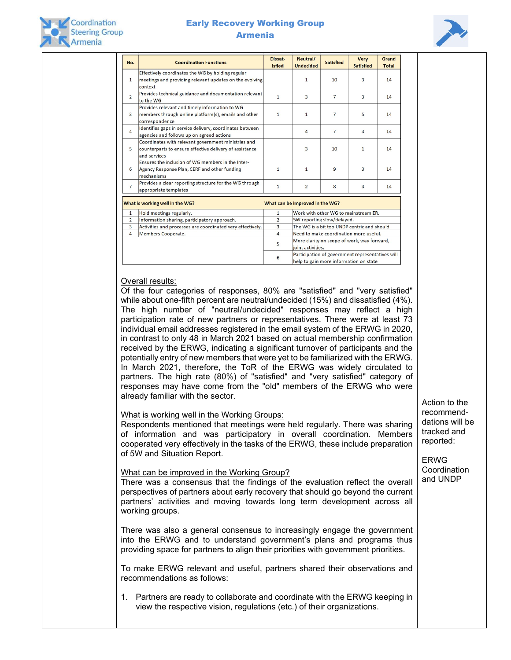

# Early Recovery Working Group Armenia



| No.                                                                | Dissat-<br>Neutral/<br><b>Coordination Functions</b><br><b>isfied</b><br><b>Undecided</b>                                      |                                              | <b>Satisfied</b>                                                                           | <b>Very</b><br><b>Satisfied</b> | Grand<br><b>Total</b> |    |  |
|--------------------------------------------------------------------|--------------------------------------------------------------------------------------------------------------------------------|----------------------------------------------|--------------------------------------------------------------------------------------------|---------------------------------|-----------------------|----|--|
| $\mathbf{1}$                                                       | Effectively coordinates the WG by holding regular<br>meetings and providing relevant updates on the evolving<br>context        |                                              | $\mathbf{1}$                                                                               | 10                              | $\overline{3}$        | 14 |  |
| $\overline{2}$                                                     | Provides technical guidance and documentation relevant<br>to the WG                                                            | $\mathbf{1}$                                 | 3                                                                                          | $\overline{7}$                  | $\overline{3}$        | 14 |  |
| $\overline{3}$                                                     | Provides relevant and timely information to WG<br>members through online platform(s), emails and other<br>correspondence       | $\mathbf{1}$                                 | $\mathbf{1}$                                                                               | $\overline{7}$                  | 5                     | 14 |  |
| $\overline{4}$                                                     | Identifies gaps in service delivery, coordinates between<br>agencies and follows up on agreed actions                          |                                              | 4                                                                                          | $\overline{7}$                  | $\overline{3}$        | 14 |  |
| 5                                                                  | Coordinates with relevant government ministries and<br>counterparts to ensure effective delivery of assistance<br>and services |                                              | 3                                                                                          | 10                              | $\mathbf{1}$          | 14 |  |
| 6                                                                  | Ensures the inclusion of WG members in the Inter-<br>Agency Response Plan, CERF and other funding<br>mechanisms                | $\mathbf{1}$                                 | $\mathbf{1}$                                                                               | 9                               | $\overline{3}$        | 14 |  |
| $\overline{7}$                                                     | Provides a clear reporting structure for the WG through<br>appropriate templates                                               | $\mathbf{1}$                                 | $\overline{2}$                                                                             | 8                               | $\overline{3}$        | 14 |  |
| What is working well in the WG?<br>What can be improved in the WG? |                                                                                                                                |                                              |                                                                                            |                                 |                       |    |  |
| $\mathbf{1}$                                                       | Hold meetings regularly.                                                                                                       | $\mathbf{1}$                                 | Work with other WG to mainstream ER.                                                       |                                 |                       |    |  |
| $\overline{2}$                                                     | Information sharing, participatory approach.                                                                                   | 5W reporting slow/delayed.<br>$\overline{2}$ |                                                                                            |                                 |                       |    |  |
| $\overline{3}$                                                     | Activities and processes are coordinated very effectively.                                                                     | $\overline{3}$                               | The WG is a bit too UNDP centric and should                                                |                                 |                       |    |  |
| $\overline{4}$                                                     | Members Cooperate.                                                                                                             | 4                                            | Need to make coordination more useful.                                                     |                                 |                       |    |  |
|                                                                    |                                                                                                                                | 5                                            | More clarity on scope of work, way forward,<br>ioint activities.                           |                                 |                       |    |  |
|                                                                    |                                                                                                                                | 6                                            | Participation of government representatives will<br>help to gain more information on state |                                 |                       |    |  |

### Overall results:

Of the four categories of responses, 80% are "satisfied" and "very satisfied" while about one-fifth percent are neutral/undecided (15%) and dissatisfied (4%). The high number of "neutral/undecided" responses may reflect a high participation rate of new partners or representatives. There were at least 73 individual email addresses registered in the email system of the ERWG in 2020, in contrast to only 48 in March 2021 based on actual membership confirmation received by the ERWG, indicating a significant turnover of participants and the potentially entry of new members that were yet to be familiarized with the ERWG. In March 2021, therefore, the ToR of the ERWG was widely circulated to partners. The high rate (80%) of "satisfied" and "very satisfied" category of responses may have come from the "old" members of the ERWG who were already familiar with the sector.

## What is working well in the Working Groups:

Respondents mentioned that meetings were held regularly. There was sharing of information and was participatory in overall coordination. Members cooperated very effectively in the tasks of the ERWG, these include preparation of 5W and Situation Report.

### What can be improved in the Working Group?

There was a consensus that the findings of the evaluation reflect the overall perspectives of partners about early recovery that should go beyond the current partners' activities and moving towards long term development across all working groups.

There was also a general consensus to increasingly engage the government into the ERWG and to understand government's plans and programs thus providing space for partners to align their priorities with government priorities.

To make ERWG relevant and useful, partners shared their observations and recommendations as follows:

1. Partners are ready to collaborate and coordinate with the ERWG keeping in view the respective vision, regulations (etc.) of their organizations.

Action to the recommenddations will be tracked and reported:

ERWG Coordination and UNDP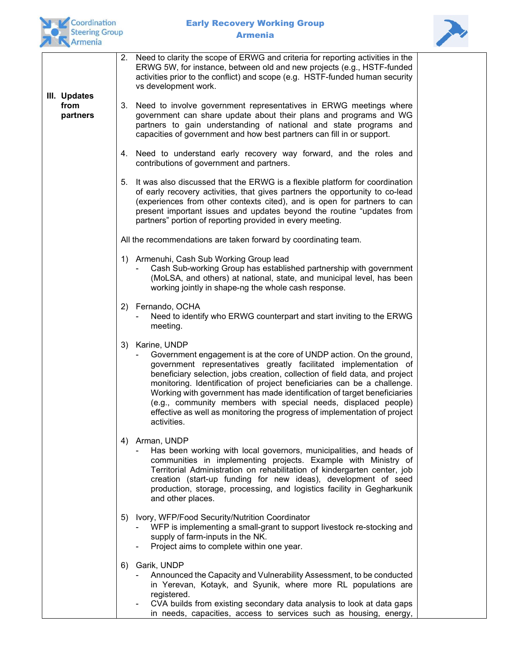



|                                  |    | 2. Need to clarity the scope of ERWG and criteria for reporting activities in the<br>ERWG 5W, for instance, between old and new projects (e.g., HSTF-funded<br>activities prior to the conflict) and scope (e.g. HSTF-funded human security<br>vs development work.                                                                                                                                                                                                                                                                                        |
|----------------------------------|----|------------------------------------------------------------------------------------------------------------------------------------------------------------------------------------------------------------------------------------------------------------------------------------------------------------------------------------------------------------------------------------------------------------------------------------------------------------------------------------------------------------------------------------------------------------|
| III. Updates<br>from<br>partners | 3. | Need to involve government representatives in ERWG meetings where<br>government can share update about their plans and programs and WG<br>partners to gain understanding of national and state programs and<br>capacities of government and how best partners can fill in or support.                                                                                                                                                                                                                                                                      |
|                                  | 4. | Need to understand early recovery way forward, and the roles and<br>contributions of government and partners.                                                                                                                                                                                                                                                                                                                                                                                                                                              |
|                                  |    | 5. It was also discussed that the ERWG is a flexible platform for coordination<br>of early recovery activities, that gives partners the opportunity to co-lead<br>(experiences from other contexts cited), and is open for partners to can<br>present important issues and updates beyond the routine "updates from<br>partners" portion of reporting provided in every meeting.                                                                                                                                                                           |
|                                  |    | All the recommendations are taken forward by coordinating team.                                                                                                                                                                                                                                                                                                                                                                                                                                                                                            |
|                                  |    | 1) Armenuhi, Cash Sub Working Group lead<br>Cash Sub-working Group has established partnership with government<br>(MoLSA, and others) at national, state, and municipal level, has been<br>working jointly in shape-ng the whole cash response.                                                                                                                                                                                                                                                                                                            |
|                                  |    | 2) Fernando, OCHA<br>Need to identify who ERWG counterpart and start inviting to the ERWG<br>meeting.                                                                                                                                                                                                                                                                                                                                                                                                                                                      |
|                                  | 3) | Karine, UNDP<br>Government engagement is at the core of UNDP action. On the ground,<br>government representatives greatly facilitated implementation of<br>beneficiary selection, jobs creation, collection of field data, and project<br>monitoring. Identification of project beneficiaries can be a challenge.<br>Working with government has made identification of target beneficiaries<br>(e.g., community members with special needs, displaced people)<br>effective as well as monitoring the progress of implementation of project<br>activities. |
|                                  | 4) | Arman, UNDP<br>Has been working with local governors, municipalities, and heads of<br>communities in implementing projects. Example with Ministry of<br>Territorial Administration on rehabilitation of kindergarten center, job<br>creation (start-up funding for new ideas), development of seed<br>production, storage, processing, and logistics facility in Gegharkunik<br>and other places.                                                                                                                                                          |
|                                  | 5) | Ivory, WFP/Food Security/Nutrition Coordinator<br>WFP is implementing a small-grant to support livestock re-stocking and<br>supply of farm-inputs in the NK.<br>Project aims to complete within one year.                                                                                                                                                                                                                                                                                                                                                  |
|                                  | 6) | Garik, UNDP<br>Announced the Capacity and Vulnerability Assessment, to be conducted<br>in Yerevan, Kotayk, and Syunik, where more RL populations are<br>registered.<br>CVA builds from existing secondary data analysis to look at data gaps<br>in needs, capacities, access to services such as housing, energy,                                                                                                                                                                                                                                          |